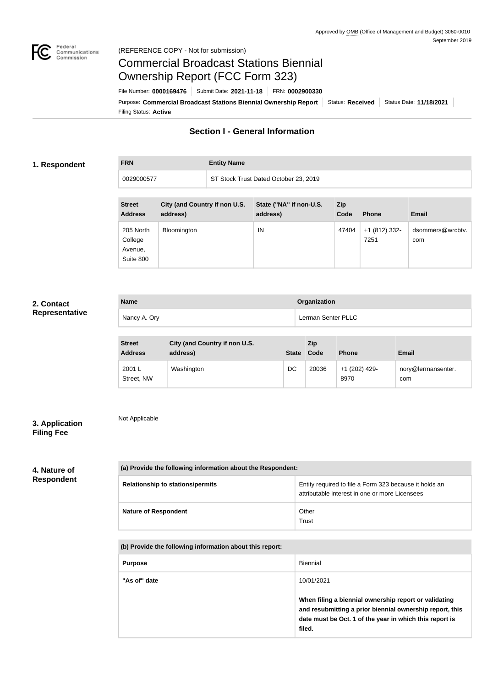

## Commercial Broadcast Stations Biennial Ownership Report (FCC Form 323)

Filing Status: **Active** Purpose: Commercial Broadcast Stations Biennial Ownership Report Status: Received Status Date: 11/18/2021 File Number: **0000169476** Submit Date: **2021-11-18** FRN: **0002900330**

## **Section I - General Information**

#### **1. Respondent**

## **FRN Entity Name**

| 0029000577                                   |                                           | ST Stock Trust Dated October 23, 2019 |             |                       |                         |
|----------------------------------------------|-------------------------------------------|---------------------------------------|-------------|-----------------------|-------------------------|
| <b>Street</b><br><b>Address</b>              | City (and Country if non U.S.<br>address) | State ("NA" if non-U.S.<br>address)   | Zip<br>Code | <b>Phone</b>          | <b>Email</b>            |
| 205 North<br>College<br>Avenue,<br>Suite 800 | <b>Bloomington</b>                        | IN                                    | 47404       | +1 (812) 332-<br>7251 | dsommers@wrcbtv.<br>com |

#### **2. Contact Representative**

| <b>Name</b>  | Organization       |
|--------------|--------------------|
| Nancy A. Ory | Lerman Senter PLLC |

| <b>Street</b><br><b>Address</b> | City (and Country if non U.S.<br>address) |    | Zip<br>State Code | <b>Phone</b>          | <b>Email</b>              |
|---------------------------------|-------------------------------------------|----|-------------------|-----------------------|---------------------------|
| 2001 L<br>Street, NW            | Washington                                | DC | 20036             | +1 (202) 429-<br>8970 | nory@lermansenter.<br>com |

### **3. Application Filing Fee**

Not Applicable

# **4. Nature of**

## **Respondent**

| (a) Provide the following information about the Respondent: |                                                                                                          |
|-------------------------------------------------------------|----------------------------------------------------------------------------------------------------------|
| <b>Relationship to stations/permits</b>                     | Entity required to file a Form 323 because it holds an<br>attributable interest in one or more Licensees |
| <b>Nature of Respondent</b>                                 | Other<br>Trust                                                                                           |

#### **(b) Provide the following information about this report:**

| <b>Purpose</b> | <b>Biennial</b>                                                                                                                                                                        |
|----------------|----------------------------------------------------------------------------------------------------------------------------------------------------------------------------------------|
| "As of" date   | 10/01/2021                                                                                                                                                                             |
|                | When filing a biennial ownership report or validating<br>and resubmitting a prior biennial ownership report, this<br>date must be Oct. 1 of the year in which this report is<br>filed. |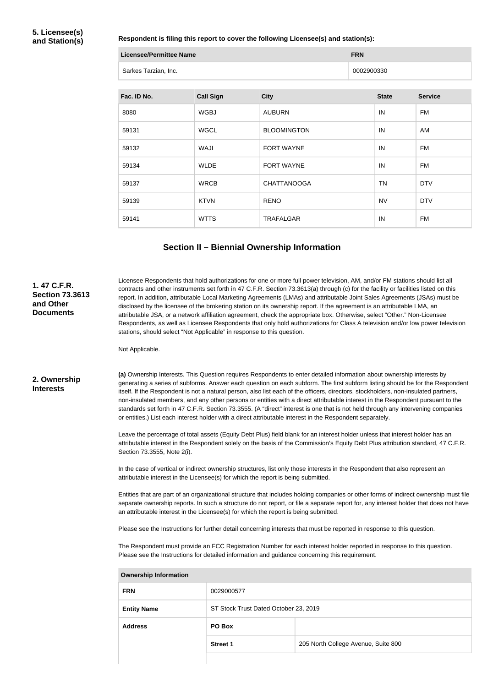#### **Respondent is filing this report to cover the following Licensee(s) and station(s):**

| Licensee/Permittee Name | <b>FRN</b> |
|-------------------------|------------|
| Sarkes Tarzian, Inc.    | 0002900330 |

| Fac. ID No. | <b>Call Sign</b> | <b>City</b>        | <b>State</b> | <b>Service</b> |
|-------------|------------------|--------------------|--------------|----------------|
| 8080        | <b>WGBJ</b>      | <b>AUBURN</b>      | IN           | <b>FM</b>      |
| 59131       | <b>WGCL</b>      | <b>BLOOMINGTON</b> | IN           | AM             |
| 59132       | WAJI             | FORT WAYNE         | IN           | <b>FM</b>      |
| 59134       | <b>WLDE</b>      | FORT WAYNE         | IN           | <b>FM</b>      |
| 59137       | <b>WRCB</b>      | <b>CHATTANOOGA</b> | TN           | <b>DTV</b>     |
| 59139       | <b>KTVN</b>      | <b>RENO</b>        | <b>NV</b>    | <b>DTV</b>     |
| 59141       | <b>WTTS</b>      | <b>TRAFALGAR</b>   | IN           | <b>FM</b>      |

#### **Section II – Biennial Ownership Information**

#### Licensee Respondents that hold authorizations for one or more full power television, AM, and/or FM stations should list all contracts and other instruments set forth in 47 C.F.R. Section 73.3613(a) through (c) for the facility or facilities listed on this report. In addition, attributable Local Marketing Agreements (LMAs) and attributable Joint Sales Agreements (JSAs) must be disclosed by the licensee of the brokering station on its ownership report. If the agreement is an attributable LMA, an attributable JSA, or a network affiliation agreement, check the appropriate box. Otherwise, select "Other." Non-Licensee Respondents, as well as Licensee Respondents that only hold authorizations for Class A television and/or low power television stations, should select "Not Applicable" in response to this question.

Not Applicable.

#### **2. Ownership Interests**

**1. 47 C.F.R. Section 73.3613** 

**and Other Documents**

> **(a)** Ownership Interests. This Question requires Respondents to enter detailed information about ownership interests by generating a series of subforms. Answer each question on each subform. The first subform listing should be for the Respondent itself. If the Respondent is not a natural person, also list each of the officers, directors, stockholders, non-insulated partners, non-insulated members, and any other persons or entities with a direct attributable interest in the Respondent pursuant to the standards set forth in 47 C.F.R. Section 73.3555. (A "direct" interest is one that is not held through any intervening companies or entities.) List each interest holder with a direct attributable interest in the Respondent separately.

> Leave the percentage of total assets (Equity Debt Plus) field blank for an interest holder unless that interest holder has an attributable interest in the Respondent solely on the basis of the Commission's Equity Debt Plus attribution standard, 47 C.F.R. Section 73.3555, Note 2(i).

In the case of vertical or indirect ownership structures, list only those interests in the Respondent that also represent an attributable interest in the Licensee(s) for which the report is being submitted.

Entities that are part of an organizational structure that includes holding companies or other forms of indirect ownership must file separate ownership reports. In such a structure do not report, or file a separate report for, any interest holder that does not have an attributable interest in the Licensee(s) for which the report is being submitted.

Please see the Instructions for further detail concerning interests that must be reported in response to this question.

The Respondent must provide an FCC Registration Number for each interest holder reported in response to this question. Please see the Instructions for detailed information and guidance concerning this requirement.

| <b>FRN</b>         | 0029000577                            |                                     |  |
|--------------------|---------------------------------------|-------------------------------------|--|
| <b>Entity Name</b> | ST Stock Trust Dated October 23, 2019 |                                     |  |
| <b>Address</b>     | PO Box                                |                                     |  |
|                    | <b>Street 1</b>                       | 205 North College Avenue, Suite 800 |  |
|                    |                                       |                                     |  |

#### **Ownership Information**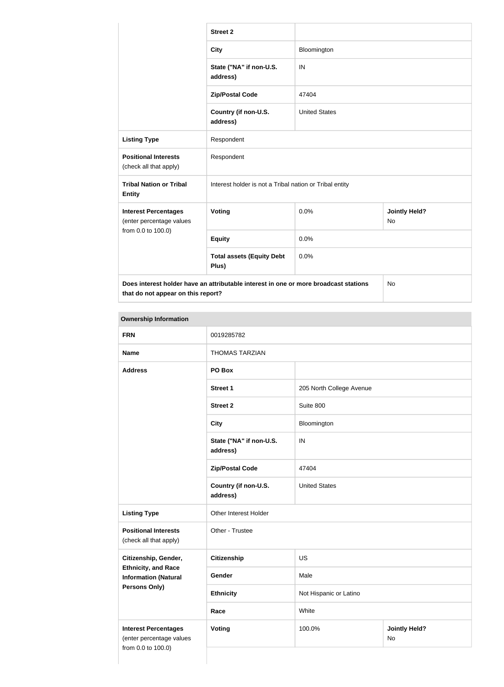|                                                         | <b>Street 2</b>                                                                      |                      |                            |
|---------------------------------------------------------|--------------------------------------------------------------------------------------|----------------------|----------------------------|
|                                                         | <b>City</b>                                                                          | Bloomington          |                            |
|                                                         | State ("NA" if non-U.S.<br>address)                                                  | IN                   |                            |
|                                                         | <b>Zip/Postal Code</b>                                                               | 47404                |                            |
|                                                         | Country (if non-U.S.<br>address)                                                     | <b>United States</b> |                            |
| <b>Listing Type</b>                                     | Respondent                                                                           |                      |                            |
| <b>Positional Interests</b><br>(check all that apply)   | Respondent                                                                           |                      |                            |
| <b>Tribal Nation or Tribal</b><br><b>Entity</b>         | Interest holder is not a Tribal nation or Tribal entity                              |                      |                            |
| <b>Interest Percentages</b><br>(enter percentage values | Voting                                                                               | 0.0%                 | <b>Jointly Held?</b><br>No |
| from 0.0 to 100.0)                                      | <b>Equity</b>                                                                        | 0.0%                 |                            |
|                                                         | <b>Total assets (Equity Debt</b><br>Plus)                                            | 0.0%                 |                            |
| that do not appear on this report?                      | Does interest holder have an attributable interest in one or more broadcast stations |                      | No                         |

#### **Ownership Information**

| <b>FRN</b>                                                | 0019285782                          |                          |                            |  |
|-----------------------------------------------------------|-------------------------------------|--------------------------|----------------------------|--|
| <b>Name</b>                                               | <b>THOMAS TARZIAN</b>               |                          |                            |  |
| <b>Address</b>                                            | PO Box                              |                          |                            |  |
|                                                           | <b>Street 1</b>                     | 205 North College Avenue |                            |  |
|                                                           | <b>Street 2</b>                     | Suite 800                |                            |  |
|                                                           | <b>City</b>                         | Bloomington              |                            |  |
|                                                           | State ("NA" if non-U.S.<br>address) | IN                       |                            |  |
|                                                           | <b>Zip/Postal Code</b>              | 47404                    |                            |  |
|                                                           | Country (if non-U.S.<br>address)    | <b>United States</b>     |                            |  |
| <b>Listing Type</b>                                       | Other Interest Holder               |                          |                            |  |
| <b>Positional Interests</b><br>(check all that apply)     | Other - Trustee                     |                          |                            |  |
| Citizenship, Gender,                                      | <b>Citizenship</b>                  | <b>US</b>                |                            |  |
| <b>Ethnicity, and Race</b><br><b>Information (Natural</b> | Gender                              | Male                     |                            |  |
| <b>Persons Only)</b>                                      | <b>Ethnicity</b>                    | Not Hispanic or Latino   |                            |  |
|                                                           | Race                                | White                    |                            |  |
| <b>Interest Percentages</b><br>(enter percentage values   | <b>Voting</b>                       | 100.0%                   | <b>Jointly Held?</b><br>No |  |
| from 0.0 to 100.0)                                        |                                     |                          |                            |  |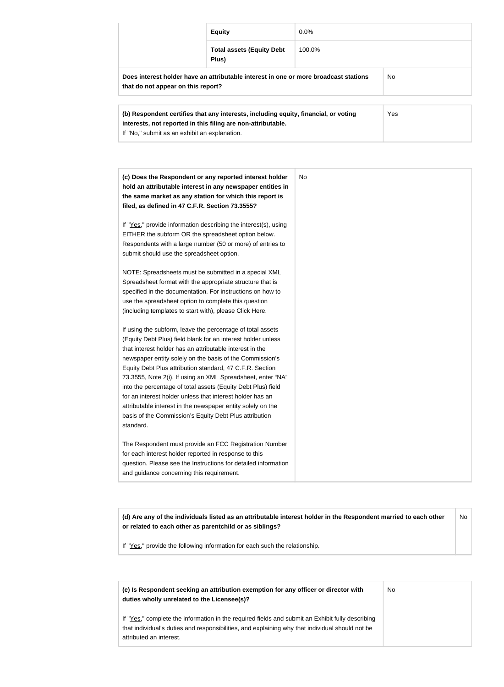|                                    | <b>Equity</b>                                                                        | $0.0\%$ |     |
|------------------------------------|--------------------------------------------------------------------------------------|---------|-----|
|                                    | <b>Total assets (Equity Debt</b><br>Plus)                                            | 100.0%  |     |
| that do not appear on this report? | Does interest holder have an attributable interest in one or more broadcast stations |         | No. |
|                                    | (b) Respondent certifies that any interests, including equity, financial, or voting  |         | Yes |

| (c) Does the Respondent or any reported interest holder         | <b>No</b> |
|-----------------------------------------------------------------|-----------|
| hold an attributable interest in any newspaper entities in      |           |
| the same market as any station for which this report is         |           |
| filed, as defined in 47 C.F.R. Section 73.3555?                 |           |
| If "Yes," provide information describing the interest(s), using |           |
| EITHER the subform OR the spreadsheet option below.             |           |
| Respondents with a large number (50 or more) of entries to      |           |
| submit should use the spreadsheet option.                       |           |
| NOTE: Spreadsheets must be submitted in a special XML           |           |
| Spreadsheet format with the appropriate structure that is       |           |
| specified in the documentation. For instructions on how to      |           |
| use the spreadsheet option to complete this question            |           |
| (including templates to start with), please Click Here.         |           |
| If using the subform, leave the percentage of total assets      |           |
| (Equity Debt Plus) field blank for an interest holder unless    |           |
| that interest holder has an attributable interest in the        |           |
| newspaper entity solely on the basis of the Commission's        |           |
| Equity Debt Plus attribution standard, 47 C.F.R. Section        |           |
| 73.3555, Note 2(i). If using an XML Spreadsheet, enter "NA"     |           |
| into the percentage of total assets (Equity Debt Plus) field    |           |
| for an interest holder unless that interest holder has an       |           |
| attributable interest in the newspaper entity solely on the     |           |
| basis of the Commission's Equity Debt Plus attribution          |           |
| standard.                                                       |           |
| The Respondent must provide an FCC Registration Number          |           |
| for each interest holder reported in response to this           |           |
| question. Please see the Instructions for detailed information  |           |
| and guidance concerning this requirement.                       |           |

**(d) Are any of the individuals listed as an attributable interest holder in the Respondent married to each other or related to each other as parentchild or as siblings?** No

If "Yes," provide the following information for each such the relationship.

**interests, not reported in this filing are non-attributable.**

If "No," submit as an exhibit an explanation.

| (e) Is Respondent seeking an attribution exemption for any officer or director with<br>duties wholly unrelated to the Licensee(s)?                                                                                             | No. |
|--------------------------------------------------------------------------------------------------------------------------------------------------------------------------------------------------------------------------------|-----|
| If "Yes," complete the information in the required fields and submit an Exhibit fully describing<br>that individual's duties and responsibilities, and explaining why that individual should not be<br>attributed an interest. |     |